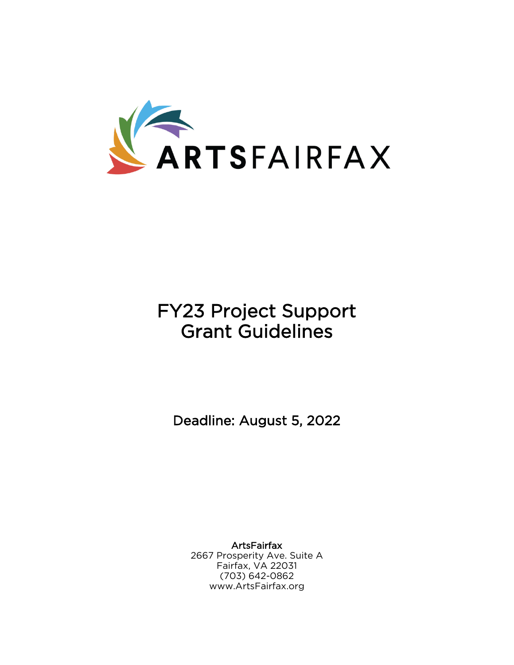

# FY23 Project Support Grant Guidelines

Deadline: August 5, 2022

**ArtsFairfax** 2667 Prosperity Ave. Suite A Fairfax, VA 22031 (703) 642-0862 www.ArtsFairfax.org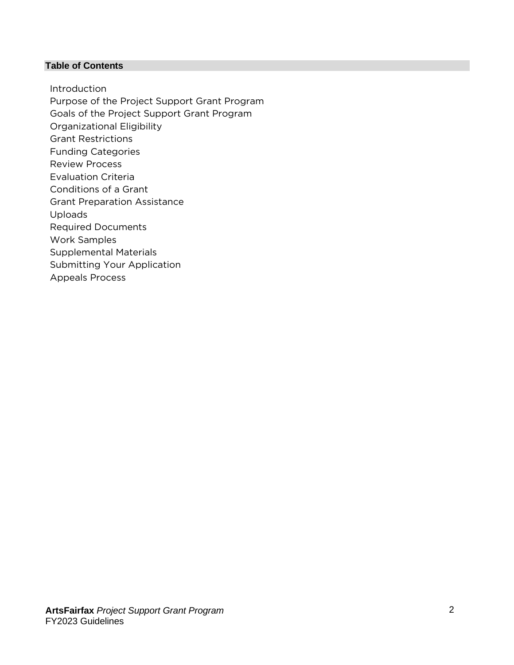#### **Table of Contents**

Introduction Purpose of the Project Support Grant Program Goals of the Project Support Grant Program Organizational Eligibility Grant Restrictions Funding Categories Review Process Evaluation Criteria Conditions of a Grant Grant Preparation Assistance Uploads Required Documents Work Samples Supplemental Materials Submitting Your Application Appeals Process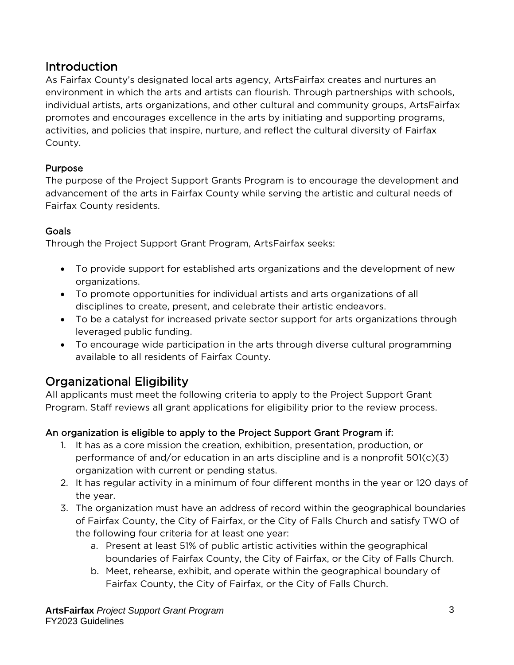# Introduction

As Fairfax County's designated local arts agency, ArtsFairfax creates and nurtures an environment in which the arts and artists can flourish. Through partnerships with schools, individual artists, arts organizations, and other cultural and community groups, ArtsFairfax promotes and encourages excellence in the arts by initiating and supporting programs, activities, and policies that inspire, nurture, and reflect the cultural diversity of Fairfax County.

# Purpose

The purpose of the Project Support Grants Program is to encourage the development and advancement of the arts in Fairfax County while serving the artistic and cultural needs of Fairfax County residents.

# **Goals**

Through the Project Support Grant Program, ArtsFairfax seeks:

- To provide support for established arts organizations and the development of new organizations.
- To promote opportunities for individual artists and arts organizations of all disciplines to create, present, and celebrate their artistic endeavors.
- To be a catalyst for increased private sector support for arts organizations through leveraged public funding.
- To encourage wide participation in the arts through diverse cultural programming available to all residents of Fairfax County.

# Organizational Eligibility

All applicants must meet the following criteria to apply to the Project Support Grant Program. Staff reviews all grant applications for eligibility prior to the review process.

# An organization is eligible to apply to the Project Support Grant Program if:

- 1. It has as a core mission the creation, exhibition, presentation, production, or performance of and/or education in an arts discipline and is a nonprofit 501(c)(3) organization with current or pending status.
- 2. It has regular activity in a minimum of four different months in the year or 120 days of the year.
- 3. The organization must have an address of record within the geographical boundaries of Fairfax County, the City of Fairfax, or the City of Falls Church and satisfy TWO of the following four criteria for at least one year:
	- a. Present at least 51% of public artistic activities within the geographical boundaries of Fairfax County, the City of Fairfax, or the City of Falls Church.
	- b. Meet, rehearse, exhibit, and operate within the geographical boundary of Fairfax County, the City of Fairfax, or the City of Falls Church.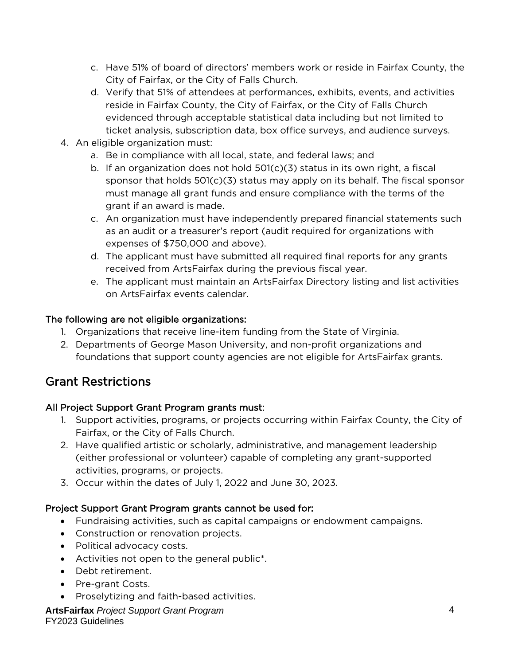- c. Have 51% of board of directors' members work or reside in Fairfax County, the City of Fairfax, or the City of Falls Church.
- d. Verify that 51% of attendees at performances, exhibits, events, and activities reside in Fairfax County, the City of Fairfax, or the City of Falls Church evidenced through acceptable statistical data including but not limited to ticket analysis, subscription data, box office surveys, and audience surveys.
- 4. An eligible organization must:
	- a. Be in compliance with all local, state, and federal laws; and
	- b. If an organization does not hold 501(c)(3) status in its own right, a fiscal sponsor that holds 501(c)(3) status may apply on its behalf. The fiscal sponsor must manage all grant funds and ensure compliance with the terms of the grant if an award is made.
	- c. An organization must have independently prepared financial statements such as an audit or a treasurer's report (audit required for organizations with expenses of \$750,000 and above).
	- d. The applicant must have submitted all required final reports for any grants received from ArtsFairfax during the previous fiscal year.
	- e. The applicant must maintain an ArtsFairfax Directory listing and list activities on ArtsFairfax events calendar.

#### The following are not eligible organizations:

- 1. Organizations that receive line-item funding from the State of Virginia.
- 2. Departments of George Mason University, and non-profit organizations and foundations that support county agencies are not eligible for ArtsFairfax grants.

# Grant Restrictions

#### All Project Support Grant Program grants must:

- 1. Support activities, programs, or projects occurring within Fairfax County, the City of Fairfax, or the City of Falls Church.
- 2. Have qualified artistic or scholarly, administrative, and management leadership (either professional or volunteer) capable of completing any grant-supported activities, programs, or projects.
- 3. Occur within the dates of July 1, 2022 and June 30, 2023.

# Project Support Grant Program grants cannot be used for:

- Fundraising activities, such as capital campaigns or endowment campaigns.
- Construction or renovation projects.
- Political advocacy costs.
- Activities not open to the general public\*.
- Debt retirement.
- Pre-grant Costs.
- Proselytizing and faith-based activities.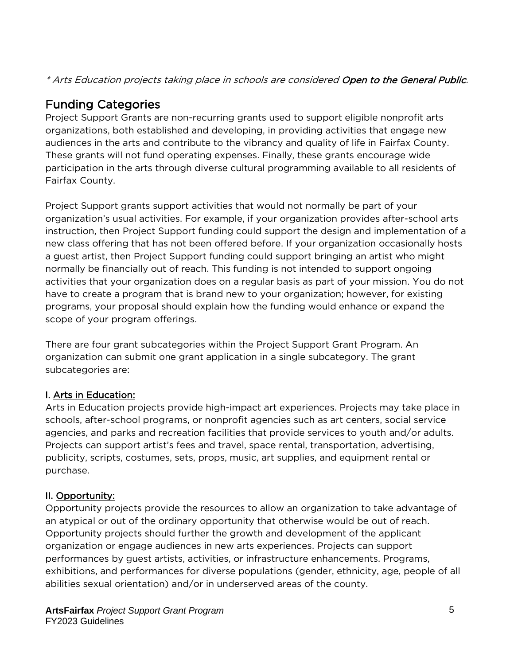\* Arts Education projects taking place in schools are considered Open to the General Public.

# Funding Categories

Project Support Grants are non-recurring grants used to support eligible nonprofit arts organizations, both established and developing, in providing activities that engage new audiences in the arts and contribute to the vibrancy and quality of life in Fairfax County. These grants will not fund operating expenses. Finally, these grants encourage wide participation in the arts through diverse cultural programming available to all residents of Fairfax County.

Project Support grants support activities that would not normally be part of your organization's usual activities. For example, if your organization provides after-school arts instruction, then Project Support funding could support the design and implementation of a new class offering that has not been offered before. If your organization occasionally hosts a guest artist, then Project Support funding could support bringing an artist who might normally be financially out of reach. This funding is not intended to support ongoing activities that your organization does on a regular basis as part of your mission. You do not have to create a program that is brand new to your organization; however, for existing programs, your proposal should explain how the funding would enhance or expand the scope of your program offerings.

There are four grant subcategories within the Project Support Grant Program. An organization can submit one grant application in a single subcategory. The grant subcategories are:

# I. Arts in Education:

Arts in Education projects provide high-impact art experiences. Projects may take place in schools, after-school programs, or nonprofit agencies such as art centers, social service agencies, and parks and recreation facilities that provide services to youth and/or adults. Projects can support artist's fees and travel, space rental, transportation, advertising, publicity, scripts, costumes, sets, props, music, art supplies, and equipment rental or purchase.

# II. Opportunity:

Opportunity projects provide the resources to allow an organization to take advantage of an atypical or out of the ordinary opportunity that otherwise would be out of reach. Opportunity projects should further the growth and development of the applicant organization or engage audiences in new arts experiences. Projects can support performances by guest artists, activities, or infrastructure enhancements. Programs, exhibitions, and performances for diverse populations (gender, ethnicity, age, people of all abilities sexual orientation) and/or in underserved areas of the county.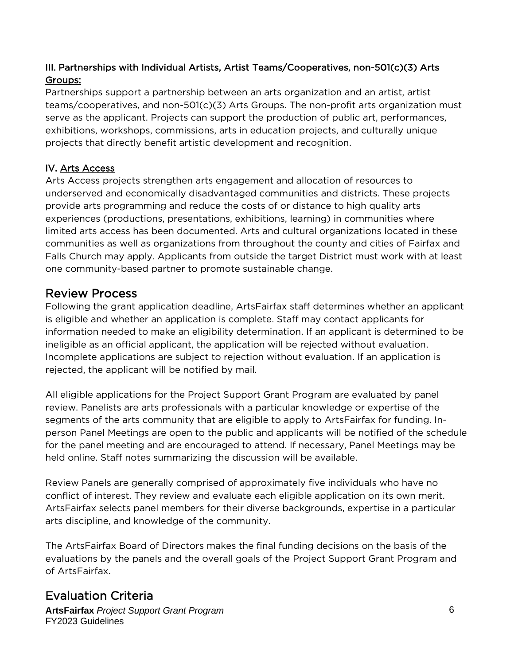# III. Partnerships with Individual Artists, Artist Teams/Cooperatives, non-501(c)(3) Arts Groups:

Partnerships support a partnership between an arts organization and an artist, artist teams/cooperatives, and non-501(c)(3) Arts Groups. The non-profit arts organization must serve as the applicant. Projects can support the production of public art, performances, exhibitions, workshops, commissions, arts in education projects, and culturally unique projects that directly benefit artistic development and recognition.

#### IV. Arts Access

Arts Access projects strengthen arts engagement and allocation of resources to underserved and economically disadvantaged communities and districts. These projects provide arts programming and reduce the costs of or distance to high quality arts experiences (productions, presentations, exhibitions, learning) in communities where limited arts access has been documented. Arts and cultural organizations located in these communities as well as organizations from throughout the county and cities of Fairfax and Falls Church may apply. Applicants from outside the target District must work with at least one community-based partner to promote sustainable change.

# Review Process

Following the grant application deadline, ArtsFairfax staff determines whether an applicant is eligible and whether an application is complete. Staff may contact applicants for information needed to make an eligibility determination. If an applicant is determined to be ineligible as an official applicant, the application will be rejected without evaluation. Incomplete applications are subject to rejection without evaluation. If an application is rejected, the applicant will be notified by mail.

All eligible applications for the Project Support Grant Program are evaluated by panel review. Panelists are arts professionals with a particular knowledge or expertise of the segments of the arts community that are eligible to apply to ArtsFairfax for funding. Inperson Panel Meetings are open to the public and applicants will be notified of the schedule for the panel meeting and are encouraged to attend. If necessary, Panel Meetings may be held online. Staff notes summarizing the discussion will be available.

Review Panels are generally comprised of approximately five individuals who have no conflict of interest. They review and evaluate each eligible application on its own merit. ArtsFairfax selects panel members for their diverse backgrounds, expertise in a particular arts discipline, and knowledge of the community.

The ArtsFairfax Board of Directors makes the final funding decisions on the basis of the evaluations by the panels and the overall goals of the Project Support Grant Program and of ArtsFairfax.

# Evaluation Criteria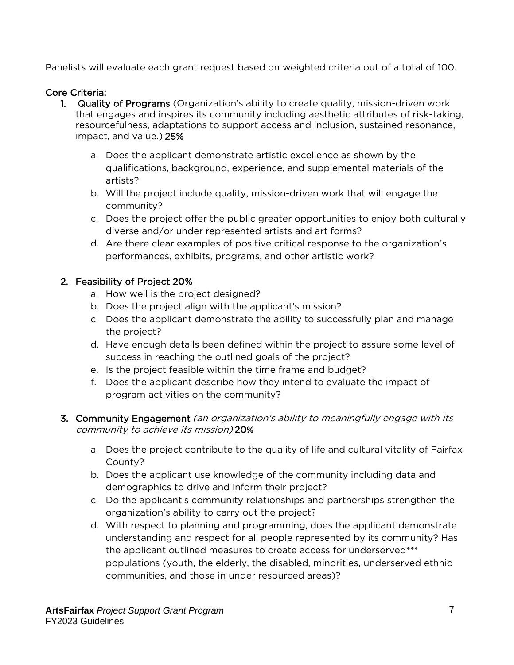Panelists will evaluate each grant request based on weighted criteria out of a total of 100.

#### Core Criteria:

- 1. Quality of Programs (Organization's ability to create quality, mission-driven work that engages and inspires its community including aesthetic attributes of risk-taking, resourcefulness, adaptations to support access and inclusion, sustained resonance, impact, and value.) 25%
	- a. Does the applicant demonstrate artistic excellence as shown by the qualifications, background, experience, and supplemental materials of the artists?
	- b. Will the project include quality, mission-driven work that will engage the community?
	- c. Does the project offer the public greater opportunities to enjoy both culturally diverse and/or under represented artists and art forms?
	- d. Are there clear examples of positive critical response to the organization's performances, exhibits, programs, and other artistic work?

#### 2. Feasibility of Project 20%

- a. How well is the project designed?
- b. Does the project align with the applicant's mission?
- c. Does the applicant demonstrate the ability to successfully plan and manage the project?
- d. Have enough details been defined within the project to assure some level of success in reaching the outlined goals of the project?
- e. Is the project feasible within the time frame and budget?
- f. Does the applicant describe how they intend to evaluate the impact of program activities on the community?

#### 3. Community Engagement (an organization's ability to meaningfully engage with its community to achieve its mission) 20**%**

- a. Does the project contribute to the quality of life and cultural vitality of Fairfax County?
- b. Does the applicant use knowledge of the community including data and demographics to drive and inform their project?
- c. Do the applicant's community relationships and partnerships strengthen the organization's ability to carry out the project?
- d. With respect to planning and programming, does the applicant demonstrate understanding and respect for all people represented by its community? Has the applicant outlined measures to create access for underserved\*\*\* populations (youth, the elderly, the disabled, minorities, underserved ethnic communities, and those in under resourced areas)?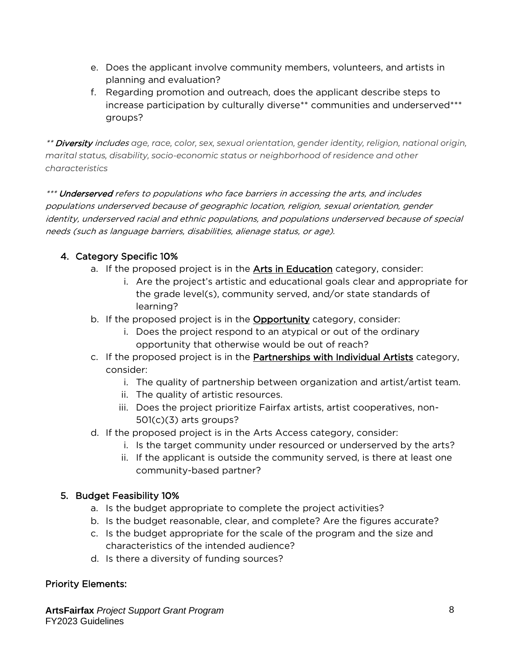- e. Does the applicant involve community members, volunteers, and artists in planning and evaluation?
- f. Regarding promotion and outreach, does the applicant describe steps to increase participation by culturally diverse\*\* communities and underserved\*\*\* groups?

\*\* Diversity includes *age, race, color, sex, sexual orientation, gender identity, religion, national origin, marital status, disability, socio-economic status or neighborhood of residence and other characteristics*

\*\*\* **Underserved** refers to populations who face barriers in accessing the arts, and includes populations underserved because of geographic location, religion, sexual orientation, gender identity, underserved racial and ethnic populations, and populations underserved because of special needs (such as language barriers, disabilities, alienage status, or age).

# 4. Category Specific 10%

- a. If the proposed project is in the **Arts in Education** category, consider:
	- i. Are the project's artistic and educational goals clear and appropriate for the grade level(s), community served, and/or state standards of learning?
- b. If the proposed project is in the Opportunity category, consider:
	- i. Does the project respond to an atypical or out of the ordinary opportunity that otherwise would be out of reach?
- c. If the proposed project is in the Partnerships with Individual Artists category, consider:
	- i. The quality of partnership between organization and artist/artist team.
	- ii. The quality of artistic resources.
	- iii. Does the project prioritize Fairfax artists, artist cooperatives, non-501(c)(3) arts groups?
- d. If the proposed project is in the Arts Access category, consider:
	- i. Is the target community under resourced or underserved by the arts?
	- ii. If the applicant is outside the community served, is there at least one community-based partner?

#### 5. Budget Feasibility 10%

- a. Is the budget appropriate to complete the project activities?
- b. Is the budget reasonable, clear, and complete? Are the figures accurate?
- c. Is the budget appropriate for the scale of the program and the size and characteristics of the intended audience?
- d. Is there a diversity of funding sources?

#### Priority Elements: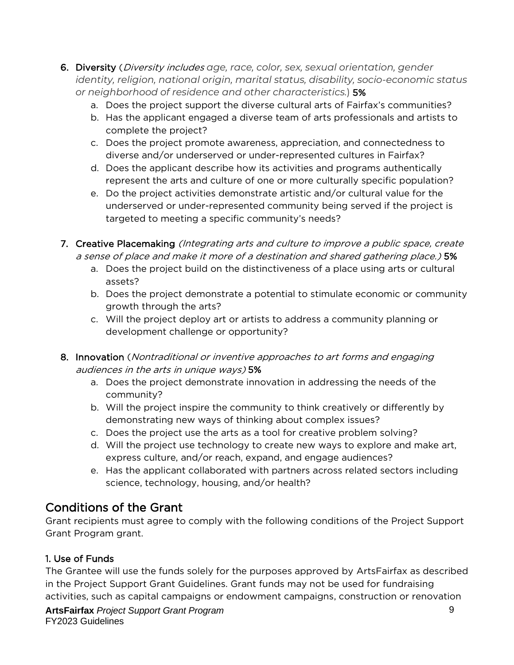- 6. Diversity (Diversity includes *age, race, color, sex, sexual orientation, gender identity, religion, national origin, marital status, disability, socio-economic status or neighborhood of residence and other characteristics.*) 5%
	- a. Does the project support the diverse cultural arts of Fairfax's communities?
	- b. Has the applicant engaged a diverse team of arts professionals and artists to complete the project?
	- c. Does the project promote awareness, appreciation, and connectedness to diverse and/or underserved or under-represented cultures in Fairfax?
	- d. Does the applicant describe how its activities and programs authentically represent the arts and culture of one or more culturally specific population?
	- e. Do the project activities demonstrate artistic and/or cultural value for the underserved or under-represented community being served if the project is targeted to meeting a specific community's needs?
- 7. Creative Placemaking (Integrating arts and culture to improve a public space, create a sense of place and make it more of a destination and shared gathering place.) 5%
	- a. Does the project build on the distinctiveness of a place using arts or cultural assets?
	- b. Does the project demonstrate a potential to stimulate economic or community growth through the arts?
	- c. Will the project deploy art or artists to address a community planning or development challenge or opportunity?
- 8. Innovation (Nontraditional or inventive approaches to art forms and engaging audiences in the arts in unique ways) 5%
	- a. Does the project demonstrate innovation in addressing the needs of the community?
	- b. Will the project inspire the community to think creatively or differently by demonstrating new ways of thinking about complex issues?
	- c. Does the project use the arts as a tool for creative problem solving?
	- d. Will the project use technology to create new ways to explore and make art, express culture, and/or reach, expand, and engage audiences?
	- e. Has the applicant collaborated with partners across related sectors including science, technology, housing, and/or health?

# Conditions of the Grant

Grant recipients must agree to comply with the following conditions of the Project Support Grant Program grant.

# 1. Use of Funds

The Grantee will use the funds solely for the purposes approved by ArtsFairfax as described in the Project Support Grant Guidelines. Grant funds may not be used for fundraising activities, such as capital campaigns or endowment campaigns, construction or renovation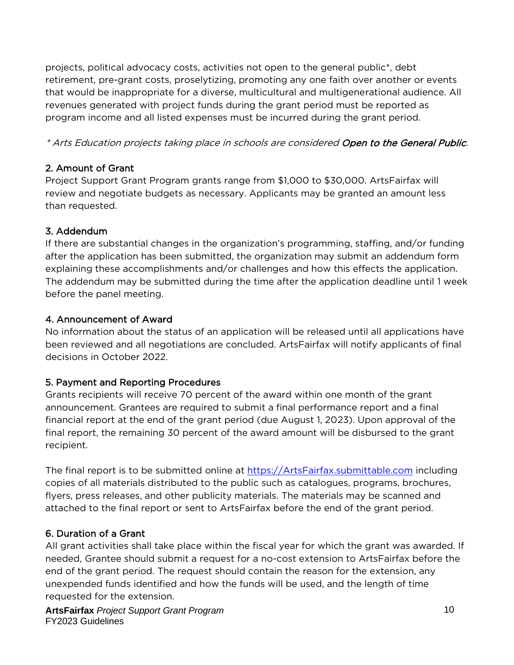projects, political advocacy costs, activities not open to the general public\*, debt retirement, pre-grant costs, proselytizing, promoting any one faith over another or events that would be inappropriate for a diverse, multicultural and multigenerational audience. All revenues generated with project funds during the grant period must be reported as program income and all listed expenses must be incurred during the grant period.

#### \* Arts Education projects taking place in schools are considered Open to the General Public.

#### 2. Amount of Grant

Project Support Grant Program grants range from \$1,000 to \$30,000. ArtsFairfax will review and negotiate budgets as necessary. Applicants may be granted an amount less than requested.

# 3. Addendum

If there are substantial changes in the organization's programming, staffing, and/or funding after the application has been submitted, the organization may submit an addendum form explaining these accomplishments and/or challenges and how this effects the application. The addendum may be submitted during the time after the application deadline until 1 week before the panel meeting.

#### 4. Announcement of Award

No information about the status of an application will be released until all applications have been reviewed and all negotiations are concluded. ArtsFairfax will notify applicants of final decisions in October 2022.

# 5. Payment and Reporting Procedures

Grants recipients will receive 70 percent of the award within one month of the grant announcement. Grantees are required to submit a final performance report and a final financial report at the end of the grant period (due August 1, 2023). Upon approval of the final report, the remaining 30 percent of the award amount will be disbursed to the grant recipient.

The final report is to be submitted online at [https://ArtsFairfax.submittable.com](https://artsfairfax.submittable.com/) including copies of all materials distributed to the public such as catalogues, programs, brochures, flyers, press releases, and other publicity materials. The materials may be scanned and attached to the final report or sent to ArtsFairfax before the end of the grant period.

# 6. Duration of a Grant

All grant activities shall take place within the fiscal year for which the grant was awarded. If needed, Grantee should submit a request for a no-cost extension to ArtsFairfax before the end of the grant period. The request should contain the reason for the extension, any unexpended funds identified and how the funds will be used, and the length of time requested for the extension.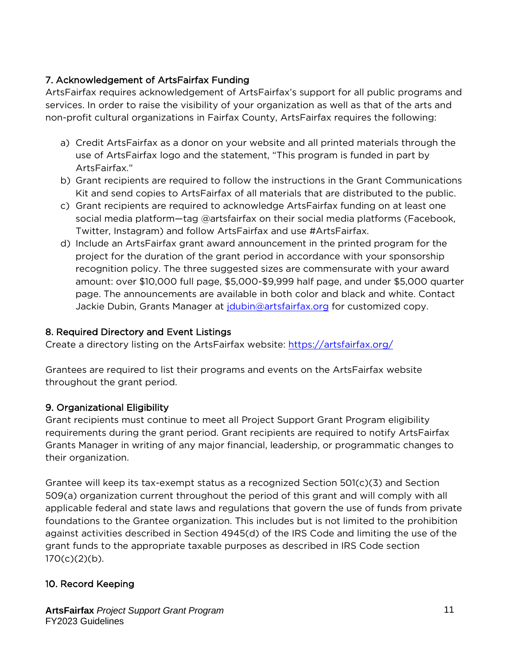### 7. Acknowledgement of ArtsFairfax Funding

ArtsFairfax requires acknowledgement of ArtsFairfax's support for all public programs and services. In order to raise the visibility of your organization as well as that of the arts and non-profit cultural organizations in Fairfax County, ArtsFairfax requires the following:

- a) Credit ArtsFairfax as a donor on your website and all printed materials through the use of ArtsFairfax logo and the statement, "This program is funded in part by ArtsFairfax."
- b) Grant recipients are required to follow the instructions in the Grant Communications Kit and send copies to ArtsFairfax of all materials that are distributed to the public.
- c) Grant recipients are required to acknowledge ArtsFairfax funding on at least one social media platform—tag @artsfairfax on their social media platforms (Facebook, Twitter, Instagram) and follow ArtsFairfax and use #ArtsFairfax.
- d) Include an ArtsFairfax grant award announcement in the printed program for the project for the duration of the grant period in accordance with your sponsorship recognition policy. The three suggested sizes are commensurate with your award amount: over \$10,000 full page, \$5,000-\$9,999 half page, and under \$5,000 quarter page. The announcements are available in both color and black and white. Contact Jackie Dubin, Grants Manager at [jdubin@artsfairfax.org](mailto:jdubin@artsfairfax.org) for customized copy.

#### 8. Required Directory and Event Listings

Create a directory listing on the ArtsFairfax website:<https://artsfairfax.org/>

Grantees are required to list their programs and events on the ArtsFairfax website throughout the grant period.

#### 9. Organizational Eligibility

Grant recipients must continue to meet all Project Support Grant Program eligibility requirements during the grant period. Grant recipients are required to notify ArtsFairfax Grants Manager in writing of any major financial, leadership, or programmatic changes to their organization.

Grantee will keep its tax-exempt status as a recognized Section 501(c)(3) and Section 509(a) organization current throughout the period of this grant and will comply with all applicable federal and state laws and regulations that govern the use of funds from private foundations to the Grantee organization. This includes but is not limited to the prohibition against activities described in Section 4945(d) of the IRS Code and limiting the use of the grant funds to the appropriate taxable purposes as described in IRS Code section  $170(c)(2)(b)$ .

#### 10. Record Keeping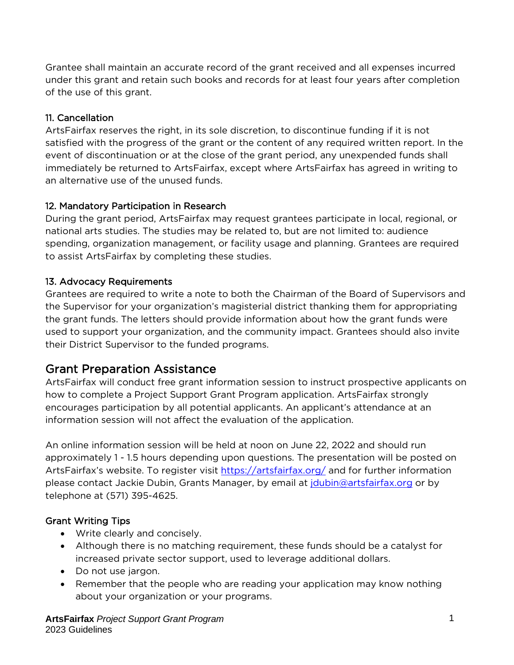Grantee shall maintain an accurate record of the grant received and all expenses incurred under this grant and retain such books and records for at least four years after completion of the use of this grant.

#### 11. Cancellation

ArtsFairfax reserves the right, in its sole discretion, to discontinue funding if it is not satisfied with the progress of the grant or the content of any required written report. In the event of discontinuation or at the close of the grant period, any unexpended funds shall immediately be returned to ArtsFairfax, except where ArtsFairfax has agreed in writing to an alternative use of the unused funds.

# 12. Mandatory Participation in Research

During the grant period, ArtsFairfax may request grantees participate in local, regional, or national arts studies. The studies may be related to, but are not limited to: audience spending, organization management, or facility usage and planning. Grantees are required to assist ArtsFairfax by completing these studies.

#### 13. Advocacy Requirements

Grantees are required to write a note to both the Chairman of the Board of Supervisors and the Supervisor for your organization's magisterial district thanking them for appropriating the grant funds. The letters should provide information about how the grant funds were used to support your organization, and the community impact. Grantees should also invite their District Supervisor to the funded programs.

# Grant Preparation Assistance

ArtsFairfax will conduct free grant information session to instruct prospective applicants on how to complete a Project Support Grant Program application. ArtsFairfax strongly encourages participation by all potential applicants. An applicant's attendance at an information session will not affect the evaluation of the application.

An online information session will be held at noon on June 22, 2022 and should run approximately 1 - 1.5 hours depending upon questions. The presentation will be posted on ArtsFairfax's website. To register visit<https://artsfairfax.org/> and for further information please contact Jackie Dubin, Grants Manager, by email at [jdubin@artsfairfax.org](mailto:jdubin@artsfairfax.org) or by telephone at (571) 395-4625.

# Grant Writing Tips

- Write clearly and concisely.
- Although there is no matching requirement, these funds should be a catalyst for increased private sector support, used to leverage additional dollars.
- Do not use jargon.
- Remember that the people who are reading your application may know nothing about your organization or your programs.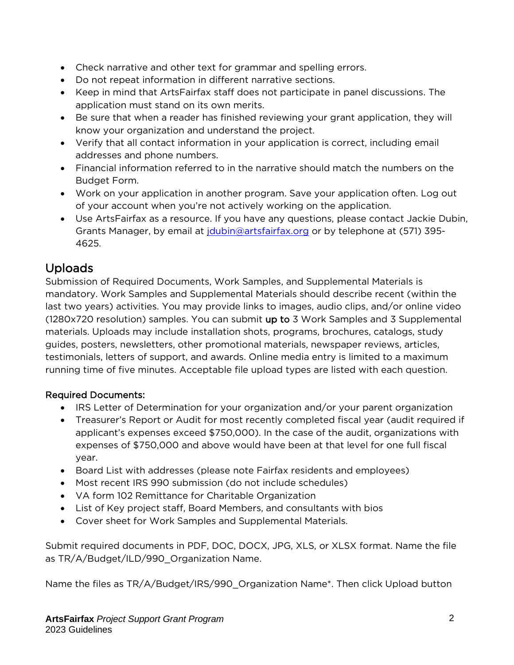- Check narrative and other text for grammar and spelling errors.
- Do not repeat information in different narrative sections.
- Keep in mind that ArtsFairfax staff does not participate in panel discussions. The application must stand on its own merits.
- Be sure that when a reader has finished reviewing your grant application, they will know your organization and understand the project.
- Verify that all contact information in your application is correct, including email addresses and phone numbers.
- Financial information referred to in the narrative should match the numbers on the Budget Form.
- Work on your application in another program. Save your application often. Log out of your account when you're not actively working on the application.
- Use ArtsFairfax as a resource. If you have any questions, please contact Jackie Dubin, Grants Manager, by email at *jdubin@artsfairfax.org* or by telephone at (571) 395-4625.

# Uploads

Submission of Required Documents, Work Samples, and Supplemental Materials is mandatory. Work Samples and Supplemental Materials should describe recent (within the last two years) activities. You may provide links to images, audio clips, and/or online video (1280x720 resolution) samples. You can submit up to 3 Work Samples and 3 Supplemental materials. Uploads may include installation shots, programs, brochures, catalogs, study guides, posters, newsletters, other promotional materials, newspaper reviews, articles, testimonials, letters of support, and awards. Online media entry is limited to a maximum running time of five minutes. Acceptable file upload types are listed with each question.

# Required Documents:

- IRS Letter of Determination for your organization and/or your parent organization
- Treasurer's Report or Audit for most recently completed fiscal year (audit required if applicant's expenses exceed \$750,000). In the case of the audit, organizations with expenses of \$750,000 and above would have been at that level for one full fiscal year.
- Board List with addresses (please note Fairfax residents and employees)
- Most recent IRS 990 submission (do not include schedules)
- VA form 102 Remittance for Charitable Organization
- List of Key project staff, Board Members, and consultants with bios
- Cover sheet for Work Samples and Supplemental Materials.

Submit required documents in PDF, DOC, DOCX, JPG, XLS, or XLSX format. Name the file as TR/A/Budget/ILD/990\_Organization Name.

Name the files as TR/A/Budget/IRS/990\_Organization Name\*. Then click Upload button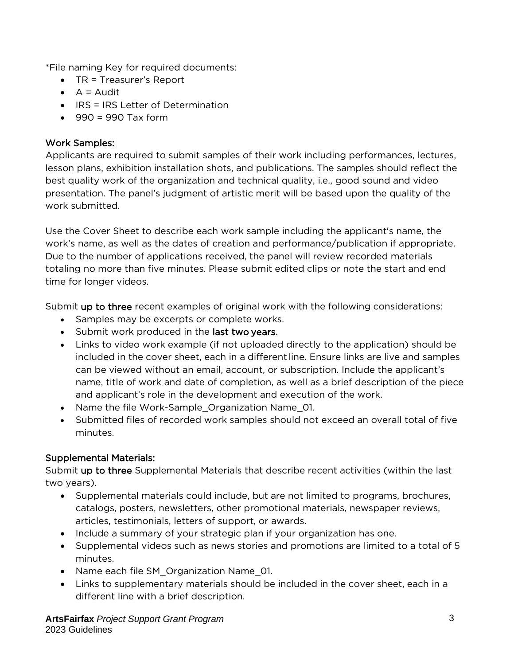\*File naming Key for required documents:

- TR = Treasurer's Report
- $\bullet$  A = Audit
- IRS = IRS Letter of Determination
- $990 = 990$  Tax form

#### Work Samples:

Applicants are required to submit samples of their work including performances, lectures, lesson plans, exhibition installation shots, and publications. The samples should reflect the best quality work of the organization and technical quality, i.e., good sound and video presentation. The panel's judgment of artistic merit will be based upon the quality of the work submitted.

Use the Cover Sheet to describe each work sample including the applicant's name, the work's name, as well as the dates of creation and performance/publication if appropriate. Due to the number of applications received, the panel will review recorded materials totaling no more than five minutes. Please submit edited clips or note the start and end time for longer videos.

Submit up to three recent examples of original work with the following considerations:

- Samples may be excerpts or complete works.
- Submit work produced in the last two years.
- Links to video work example (if not uploaded directly to the application) should be included in the cover sheet, each in a different line. Ensure links are live and samples can be viewed without an email, account, or subscription. Include the applicant's name, title of work and date of completion, as well as a brief description of the piece and applicant's role in the development and execution of the work.
- Name the file Work-Sample Organization Name 01.
- Submitted files of recorded work samples should not exceed an overall total of five minutes.

# Supplemental Materials:

Submit up to three Supplemental Materials that describe recent activities (within the last two years).

- Supplemental materials could include, but are not limited to programs, brochures, catalogs, posters, newsletters, other promotional materials, newspaper reviews, articles, testimonials, letters of support, or awards.
- Include a summary of your strategic plan if your organization has one.
- Supplemental videos such as news stories and promotions are limited to a total of 5 minutes.
- Name each file SM Organization Name 01.
- Links to supplementary materials should be included in the cover sheet, each in a different line with a brief description.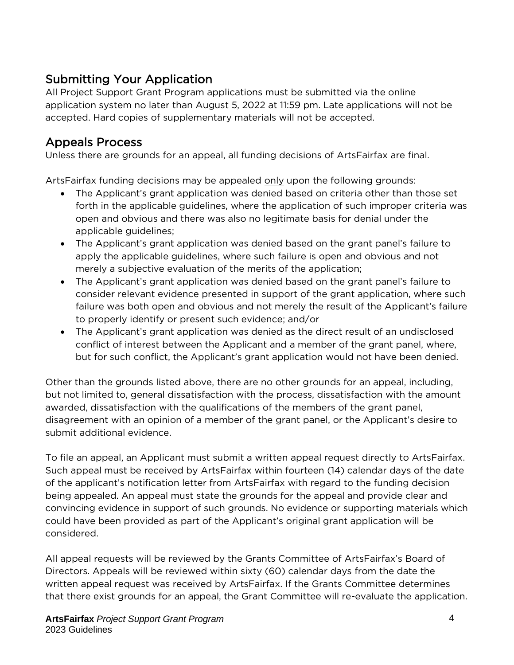# Submitting Your Application

All Project Support Grant Program applications must be submitted via the online application system no later than August 5, 2022 at 11:59 pm. Late applications will not be accepted. Hard copies of supplementary materials will not be accepted.

# Appeals Process

Unless there are grounds for an appeal, all funding decisions of ArtsFairfax are final.

ArtsFairfax funding decisions may be appealed only upon the following grounds:

- The Applicant's grant application was denied based on criteria other than those set forth in the applicable guidelines, where the application of such improper criteria was open and obvious and there was also no legitimate basis for denial under the applicable guidelines;
- The Applicant's grant application was denied based on the grant panel's failure to apply the applicable guidelines, where such failure is open and obvious and not merely a subjective evaluation of the merits of the application;
- The Applicant's grant application was denied based on the grant panel's failure to consider relevant evidence presented in support of the grant application, where such failure was both open and obvious and not merely the result of the Applicant's failure to properly identify or present such evidence; and/or
- The Applicant's grant application was denied as the direct result of an undisclosed conflict of interest between the Applicant and a member of the grant panel, where, but for such conflict, the Applicant's grant application would not have been denied.

Other than the grounds listed above, there are no other grounds for an appeal, including, but not limited to, general dissatisfaction with the process, dissatisfaction with the amount awarded, dissatisfaction with the qualifications of the members of the grant panel, disagreement with an opinion of a member of the grant panel, or the Applicant's desire to submit additional evidence.

To file an appeal, an Applicant must submit a written appeal request directly to ArtsFairfax. Such appeal must be received by ArtsFairfax within fourteen (14) calendar days of the date of the applicant's notification letter from ArtsFairfax with regard to the funding decision being appealed. An appeal must state the grounds for the appeal and provide clear and convincing evidence in support of such grounds. No evidence or supporting materials which could have been provided as part of the Applicant's original grant application will be considered.

All appeal requests will be reviewed by the Grants Committee of ArtsFairfax's Board of Directors. Appeals will be reviewed within sixty (60) calendar days from the date the written appeal request was received by ArtsFairfax. If the Grants Committee determines that there exist grounds for an appeal, the Grant Committee will re-evaluate the application.